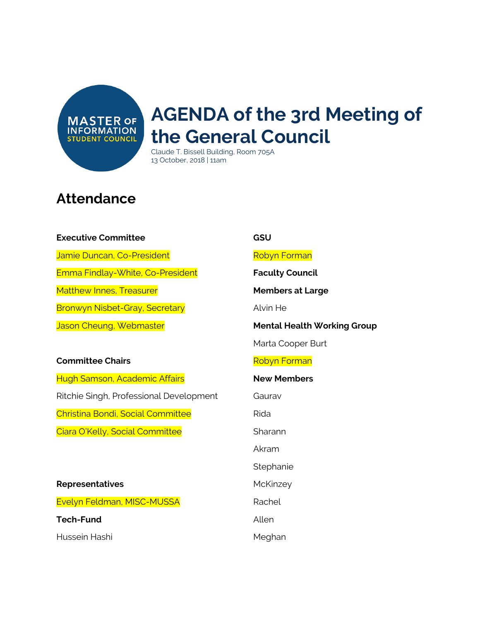**MASTER OF INFORMATION STUDENT COUNCIL** 

# **AGENDA of the 3rd Meeting of the General Council**

Claude T. Bissell Building, Room 705A 13 October, 2018 | 11am

### **Attendance**

#### **Executive Committee**

Jamie Duncan, Co-President

Emma Findlay-White, Co-President

Matthew Innes, Treasurer

Bronwyn Nisbet-Gray, Secretary

Jason Cheung, Webmaster

### **Committee Chairs**

Hugh Samson, Academic Affairs Ritchie Singh, Professional Development Christina Bondi, Social Committee Ciara O'Kelly, Social Committee

**Representatives** Evelyn Feldman, MISC-MUSSA **Tech-Fund** Hussein Hashi

### **GSU**

Robyn Forman

### **Faculty Council**

**Members at Large**

Alvin He

**Mental Health Working Group**

Marta Cooper Burt

#### Robyn Forman

### **New Members**

Gaurav

Rida

**Sharann** 

Akram

**Stephanie** 

**McKinzey** 

Rachel

Allen

Meghan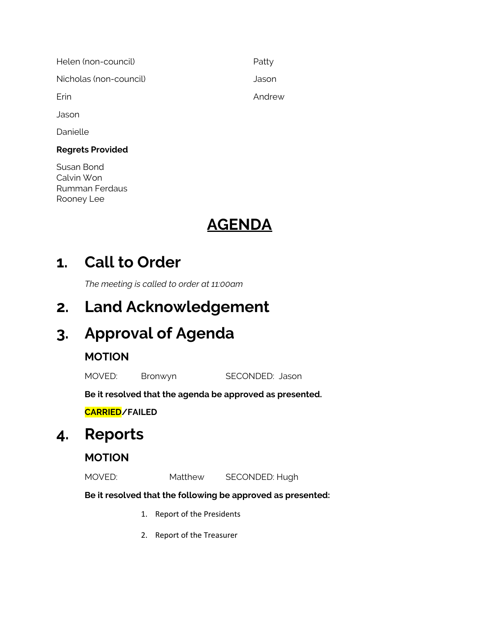| Helen (non-council)    | Patty  |
|------------------------|--------|
| Nicholas (non-council) | Jason  |
| Erin                   | Andrew |
| Jason                  |        |

Danielle

### **Regrets Provided**

Susan Bond Calvin Won Rumman Ferdaus Rooney Lee

# **AGENDA**

# **1. Call to Order**

*The meeting is called to order at 11:00am*

# **2. Land Acknowledgement**

# **3. Approval of Agenda**

### **MOTION**

MOVED: Bronwyn SECONDED: Jason

**Be it resolved that the agenda be approved as presented.**

**CARRIED/FAILED**

# **4. Reports**

### **MOTION**

MOVED: Matthew SECONDED: Hugh

### **Be it resolved that the following be approved as presented:**

- 1. Report of the Presidents
- 2. Report of the Treasurer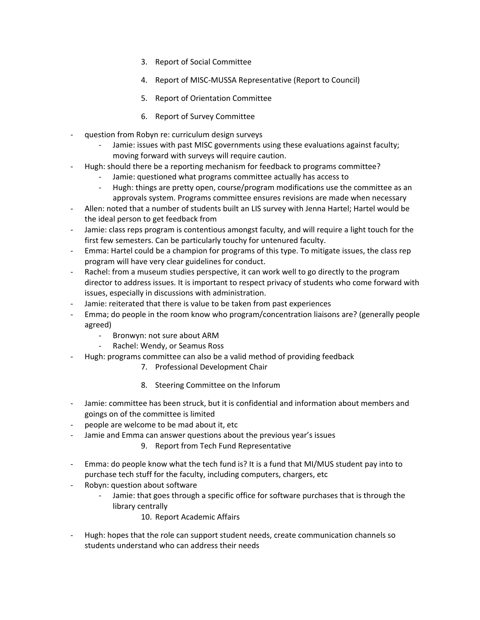- 3. Report of Social Committee
- 4. Report of MISC-MUSSA Representative (Report to Council)
- 5. Report of Orientation Committee
- 6. Report of Survey Committee
- question from Robyn re: curriculum design surveys
	- Jamie: issues with past MISC governments using these evaluations against faculty; moving forward with surveys will require caution.
- Hugh: should there be a reporting mechanism for feedback to programs committee?
	- Jamie: questioned what programs committee actually has access to
	- Hugh: things are pretty open, course/program modifications use the committee as an approvals system. Programs committee ensures revisions are made when necessary
- Allen: noted that a number of students built an LIS survey with Jenna Hartel; Hartel would be the ideal person to get feedback from
- Jamie: class reps program is contentious amongst faculty, and will require a light touch for the first few semesters. Can be particularly touchy for untenured faculty.
- Emma: Hartel could be a champion for programs of this type. To mitigate issues, the class rep program will have very clear guidelines for conduct.
- Rachel: from a museum studies perspective, it can work well to go directly to the program director to address issues. It is important to respect privacy of students who come forward with issues, especially in discussions with administration.
- Jamie: reiterated that there is value to be taken from past experiences
- Emma; do people in the room know who program/concentration liaisons are? (generally people agreed)
	- Bronwyn: not sure about ARM
	- Rachel: Wendy, or Seamus Ross
- Hugh: programs committee can also be a valid method of providing feedback
	- 7. Professional Development Chair
	- 8. Steering Committee on the Inforum
- Jamie: committee has been struck, but it is confidential and information about members and goings on of the committee is limited
- people are welcome to be mad about it, etc
- Jamie and Emma can answer questions about the previous year's issues
	- 9. Report from Tech Fund Representative
- Emma: do people know what the tech fund is? It is a fund that MI/MUS student pay into to purchase tech stuff for the faculty, including computers, chargers, etc
- Robyn: question about software
	- Jamie: that goes through a specific office for software purchases that is through the library centrally
		- 10. Report Academic Affairs
- Hugh: hopes that the role can support student needs, create communication channels so students understand who can address their needs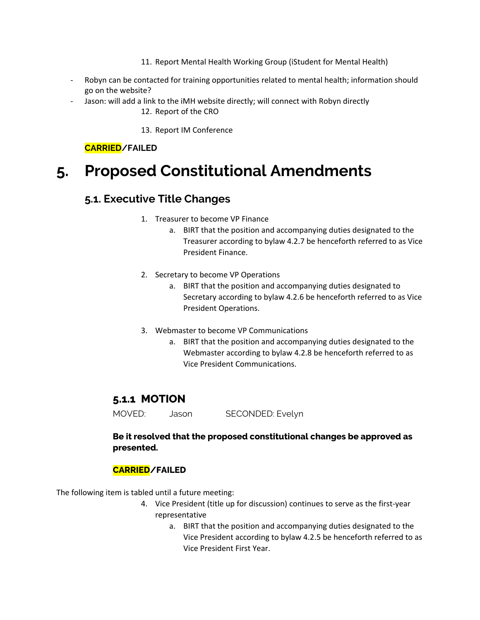- 11. Report Mental Health Working Group (iStudent for Mental Health)
- Robyn can be contacted for training opportunities related to mental health; information should go on the website?
- Jason: will add a link to the iMH website directly; will connect with Robyn directly 12. Report of the CRO

13. Report IM Conference

**CARRIED/FAILED**

# **5. Proposed Constitutional Amendments**

### **5.1. Executive Title Changes**

- 1. Treasurer to become VP Finance
	- a. BIRT that the position and accompanying duties designated to the Treasurer according to bylaw 4.2.7 be henceforth referred to as Vice President Finance.
- 2. Secretary to become VP Operations
	- a. BIRT that the position and accompanying duties designated to Secretary according to bylaw 4.2.6 be henceforth referred to as Vice President Operations.
- 3. Webmaster to become VP Communications
	- a. BIRT that the position and accompanying duties designated to the Webmaster according to bylaw 4.2.8 be henceforth referred to as Vice President Communications.

### **5.1.1 MOTION**

MOVED: Jason SECONDED: Evelyn

### **Be it resolved that the proposed constitutional changes be approved as presented.**

### **CARRIED/FAILED**

The following item is tabled until a future meeting:

- 4. Vice President (title up for discussion) continues to serve as the first-year representative
	- a. BIRT that the position and accompanying duties designated to the Vice President according to bylaw 4.2.5 be henceforth referred to as Vice President First Year.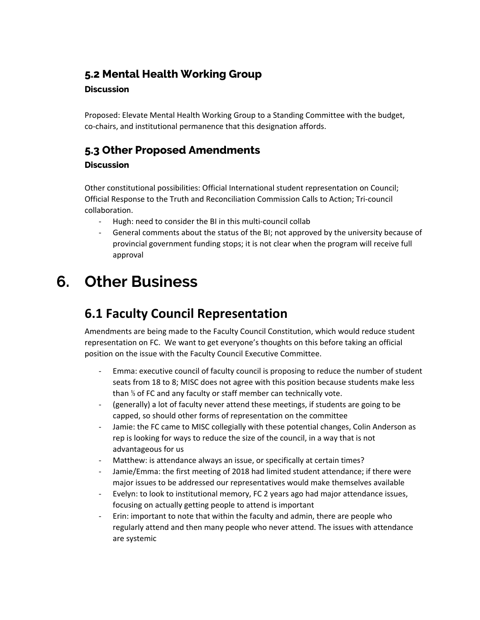### **5.2 Mental Health Working Group**

### **Discussion**

Proposed: Elevate Mental Health Working Group to a Standing Committee with the budget, co-chairs, and institutional permanence that this designation affords.

### **5.3 Other Proposed Amendments**

### **Discussion**

Other constitutional possibilities: Official International student representation on Council; Official Response to the Truth and Reconciliation Commission Calls to Action; Tri-council collaboration.

- Hugh: need to consider the BI in this multi-council collab
- General comments about the status of the BI; not approved by the university because of provincial government funding stops; it is not clear when the program will receive full approval

# **6. Other Business**

### **6.1 Faculty Council Representation**

Amendments are being made to the Faculty Council Constitution, which would reduce student representation on FC. We want to get everyone's thoughts on this before taking an official position on the issue with the Faculty Council Executive Committee.

- Emma: executive council of faculty council is proposing to reduce the number of student seats from 18 to 8; MISC does not agree with this position because students make less than ⅓ of FC and any faculty or staff member can technically vote.
- (generally) a lot of faculty never attend these meetings, if students are going to be capped, so should other forms of representation on the committee
- Jamie: the FC came to MISC collegially with these potential changes, Colin Anderson as rep is looking for ways to reduce the size of the council, in a way that is not advantageous for us
- Matthew: is attendance always an issue, or specifically at certain times?
- Jamie/Emma: the first meeting of 2018 had limited student attendance; if there were major issues to be addressed our representatives would make themselves available
- Evelyn: to look to institutional memory, FC 2 years ago had major attendance issues, focusing on actually getting people to attend is important
- Erin: important to note that within the faculty and admin, there are people who regularly attend and then many people who never attend. The issues with attendance are systemic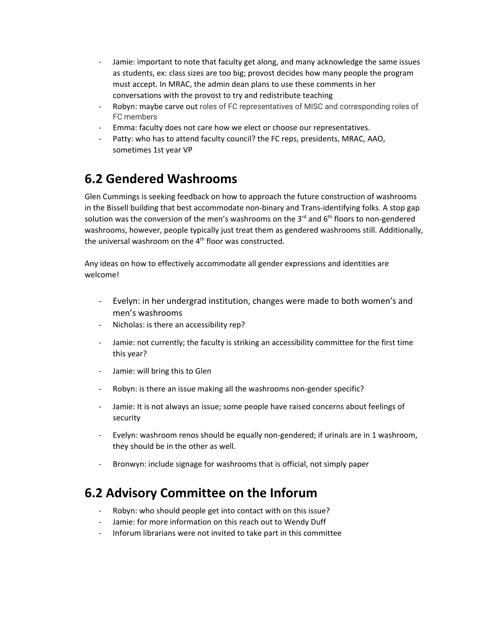- Jamie: important to note that faculty get along, and many acknowledge the same issues as students, ex: class sizes are too big; provost decides how many people the program must accept. In MRAC, the admin dean plans to use these comments in her conversations with the provost to try and redistribute teaching
- Robyn: maybe carve out roles of FC representatives of MISC and corresponding roles of FC members
- Emma: faculty does not care how we elect or choose our representatives.
- Patty: who has to attend faculty council? the FC reps, presidents, MRAC, AAO, sometimes 1st year VP

### **6.2 Gendered Washrooms**

Glen Cummings is seeking feedback on how to approach the future construction of washrooms in the Bissell building that best accommodate non-binary and Trans-identifying folks. A stop gap solution was the conversion of the men's washrooms on the 3<sup>rd</sup> and 6<sup>th</sup> floors to non-gendered washrooms, however, people typically just treat them as gendered washrooms still. Additionally, the universal washroom on the 4<sup>th</sup> floor was constructed.

Any ideas on how to effectively accommodate all gender expressions and identities are welcome!

- Evelyn: in her undergrad institution, changes were made to both women's and men's washrooms
- Nicholas: is there an accessibility rep?
- Jamie: not currently; the faculty is striking an accessibility committee for the first time this year?
- Jamie: will bring this to Glen
- Robyn: is there an issue making all the washrooms non-gender specific?
- Jamie: It is not always an issue; some people have raised concerns about feelings of security
- Evelyn: washroom renos should be equally non-gendered; if urinals are in 1 washroom, they should be in the other as well.
- Bronwyn: include signage for washrooms that is official, not simply paper

### **6.2 Advisory Committee on the Inforum**

- Robyn: who should people get into contact with on this issue?
- Jamie: for more information on this reach out to Wendy Duff
- Inforum librarians were not invited to take part in this committee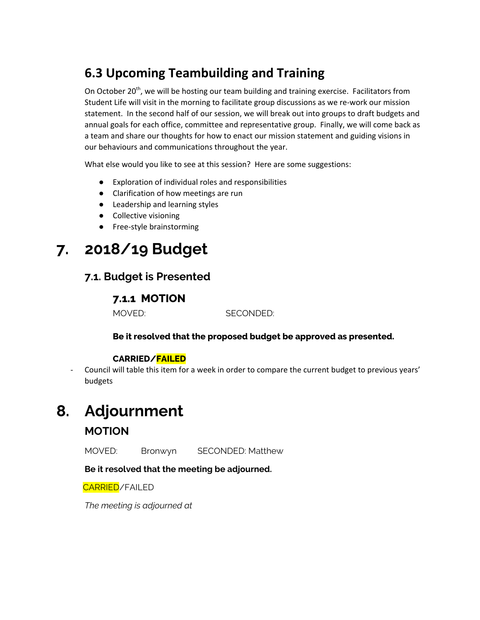### **6.3 Upcoming Teambuilding and Training**

On October 20<sup>th</sup>, we will be hosting our team building and training exercise. Facilitators from Student Life will visit in the morning to facilitate group discussions as we re-work our mission statement. In the second half of our session, we will break out into groups to draft budgets and annual goals for each office, committee and representative group. Finally, we will come back as a team and share our thoughts for how to enact our mission statement and guiding visions in our behaviours and communications throughout the year.

What else would you like to see at this session? Here are some suggestions:

- Exploration of individual roles and responsibilities
- Clarification of how meetings are run
- Leadership and learning styles
- Collective visioning
- Free-style brainstorming

# **7. 2018/19 Budget**

### **7.1. Budget is Presented**

### **7.1.1 MOTION**

MOVED: SECONDED:

### **Be it resolved that the proposed budget be approved as presented.**

### **CARRIED/FAILED**

Council will table this item for a week in order to compare the current budget to previous years' budgets

### **8. Adjournment**

### **MOTION**

MOVED: Bronwyn SECONDED: Matthew

**Be it resolved that the meeting be adjourned.**

CARRIED/FAILED

*The meeting is adjourned at*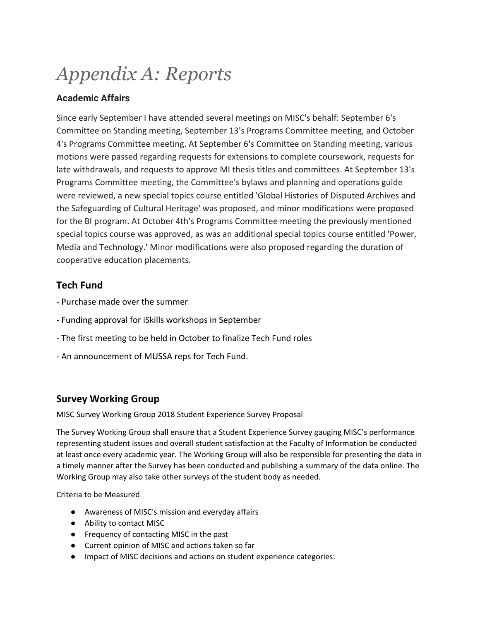# *Appendix A: Reports*

### **Academic Affairs**

Since early September I have attended several meetings on MISC's behalf: September 6's Committee on Standing meeting, September 13's Programs Committee meeting, and October 4's Programs Committee meeting. At September 6's Committee on Standing meeting, various motions were passed regarding requests for extensions to complete coursework, requests for late withdrawals, and requests to approve MI thesis titles and committees. At September 13's Programs Committee meeting, the Committee's bylaws and planning and operations guide were reviewed, a new special topics course entitled 'Global Histories of Disputed Archives and the Safeguarding of Cultural Heritage' was proposed, and minor modifications were proposed for the BI program. At October 4th's Programs Committee meeting the previously mentioned special topics course was approved, as was an additional special topics course entitled 'Power, Media and Technology.' Minor modifications were also proposed regarding the duration of cooperative education placements.

### **Tech Fund**

- Purchase made over the summer
- Funding approval for iSkills workshops in September
- The first meeting to be held in October to finalize Tech Fund roles
- An announcement of MUSSA reps for Tech Fund.

### **Survey Working Group**

MISC Survey Working Group 2018 Student Experience Survey Proposal

The Survey Working Group shall ensure that a Student Experience Survey gauging MISC's performance representing student issues and overall student satisfaction at the Faculty of Information be conducted at least once every academic year. The Working Group will also be responsible for presenting the data in a timely manner after the Survey has been conducted and publishing a summary of the data online. The Working Group may also take other surveys of the student body as needed.

Criteria to be Measured

- Awareness of MISC's mission and everyday affairs
- Ability to contact MISC
- Frequency of contacting MISC in the past
- Current opinion of MISC and actions taken so far
- Impact of MISC decisions and actions on student experience categories: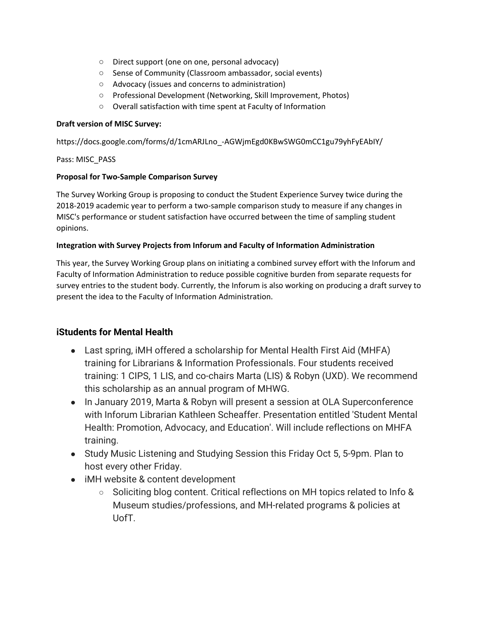- Direct support (one on one, personal advocacy)
- Sense of Community (Classroom ambassador, social events)
- Advocacy (issues and concerns to administration)
- Professional Development (Networking, Skill Improvement, Photos)
- Overall satisfaction with time spent at Faculty of Information

#### **Draft version of MISC Survey:**

https://docs.google.com/forms/d/1cmARJLno\_-AGWjmEgd0KBwSWG0mCC1gu79yhFyEAbIY/

#### Pass: MISC\_PASS

#### **Proposal for Two-Sample Comparison Survey**

The Survey Working Group is proposing to conduct the Student Experience Survey twice during the 2018-2019 academic year to perform a two-sample comparison study to measure if any changes in MISC's performance or student satisfaction have occurred between the time of sampling student opinions.

### **Integration with Survey Projects from Inforum and Faculty of Information Administration**

This year, the Survey Working Group plans on initiating a combined survey effort with the Inforum and Faculty of Information Administration to reduce possible cognitive burden from separate requests for survey entries to the student body. Currently, the Inforum is also working on producing a draft survey to present the idea to the Faculty of Information Administration.

### **iStudents for Mental Health**

- Last spring, iMH offered a scholarship for Mental Health First Aid (MHFA) training for Librarians & Information Professionals. Four students received training: 1 CIPS, 1 LIS, and co-chairs Marta (LIS) & Robyn (UXD). We recommend this scholarship as an annual program of MHWG.
- In January 2019, Marta & Robyn will present a session at OLA Superconference with Inforum Librarian Kathleen Scheaffer. Presentation entitled 'Student Mental Health: Promotion, Advocacy, and Education'. Will include reflections on MHFA training.
- Study Music Listening and Studying Session this Friday Oct 5, 5-9pm. Plan to host every other Friday.
- iMH website & content development
	- Soliciting blog content. Critical reflections on MH topics related to Info & Museum studies/professions, and MH-related programs & policies at UofT.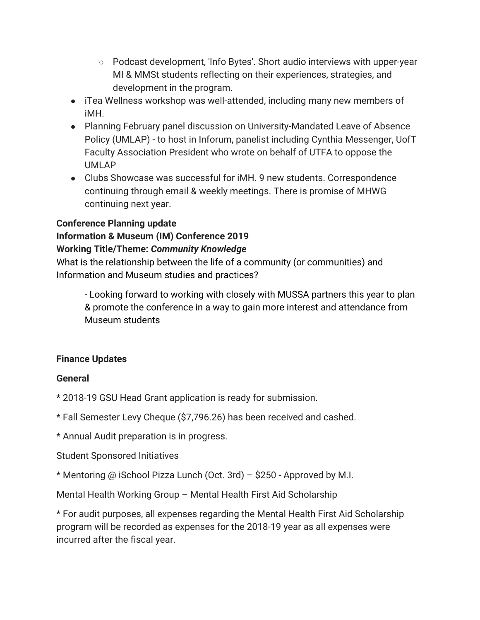- Podcast development, 'Info Bytes'. Short audio interviews with upper-year MI & MMSt students reflecting on their experiences, strategies, and development in the program.
- iTea Wellness workshop was well-attended, including many new members of iMH.
- Planning February panel discussion on University-Mandated Leave of Absence Policy (UMLAP) - to host in Inforum, panelist including Cynthia Messenger, UofT Faculty Association President who wrote on behalf of UTFA to oppose the UMLAP
- Clubs Showcase was successful for iMH. 9 new students. Correspondence continuing through email & weekly meetings. There is promise of MHWG continuing next year.

### **Conference Planning update**

## **Information & Museum (IM) Conference 2019**

### **Working Title/Theme:** *Community Knowledge*

What is the relationship between the life of a community (or communities) and Information and Museum studies and practices?

- Looking forward to working with closely with MUSSA partners this year to plan & promote the conference in a way to gain more interest and attendance from Museum students

### **Finance Updates**

### **General**

\* 2018-19 GSU Head Grant application is ready for submission.

\* Fall Semester Levy Cheque (\$7,796.26) has been received and cashed.

\* Annual Audit preparation is in progress.

Student Sponsored Initiatives

\* Mentoring @ iSchool Pizza Lunch (Oct. 3rd) – \$250 - Approved by M.I.

Mental Health Working Group – Mental Health First Aid Scholarship

\* For audit purposes, all expenses regarding the Mental Health First Aid Scholarship program will be recorded as expenses for the 2018-19 year as all expenses were incurred after the fiscal year.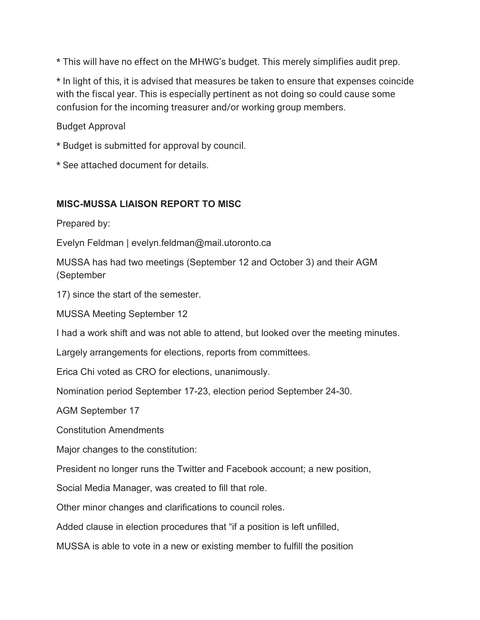\* This will have no effect on the MHWG's budget. This merely simplifies audit prep.

\* In light of this, it is advised that measures be taken to ensure that expenses coincide with the fiscal year. This is especially pertinent as not doing so could cause some confusion for the incoming treasurer and/or working group members.

Budget Approval

\* Budget is submitted for approval by council.

\* See attached document for details.

### **MISC-MUSSA LIAISON REPORT TO MISC**

Prepared by:

Evelyn Feldman | evelyn.feldman@mail.utoronto.ca

MUSSA has had two meetings (September 12 and October 3) and their AGM (September

17) since the start of the semester.

MUSSA Meeting September 12

I had a work shift and was not able to attend, but looked over the meeting minutes.

Largely arrangements for elections, reports from committees.

Erica Chi voted as CRO for elections, unanimously.

Nomination period September 17-23, election period September 24-30.

AGM September 17

Constitution Amendments

Major changes to the constitution:

President no longer runs the Twitter and Facebook account; a new position,

Social Media Manager, was created to fill that role.

Other minor changes and clarifications to council roles.

Added clause in election procedures that "if a position is left unfilled,

MUSSA is able to vote in a new or existing member to fulfill the position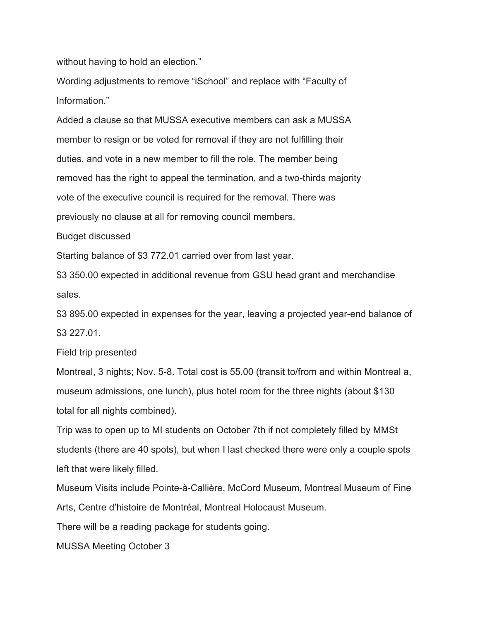without having to hold an election."

Wording adjustments to remove "iSchool" and replace with "Faculty of Information."

Added a clause so that MUSSA executive members can ask a MUSSA member to resign or be voted for removal if they are not fulfilling their duties, and vote in a new member to fill the role. The member being removed has the right to appeal the termination, and a two-thirds majority vote of the executive council is required for the removal. There was previously no clause at all for removing council members.

Budget discussed

Starting balance of \$3 772.01 carried over from last year.

\$3 350.00 expected in additional revenue from GSU head grant and merchandise sales.

\$3 895.00 expected in expenses for the year, leaving a projected year-end balance of \$3 227.01.

Field trip presented

Montreal, 3 nights; Nov. 5-8. Total cost is 55.00 (transit to/from and within Montreal a, museum admissions, one lunch), plus hotel room for the three nights (about \$130 total for all nights combined).

Trip was to open up to MI students on October 7th if not completely filled by MMSt students (there are 40 spots), but when I last checked there were only a couple spots left that were likely filled.

Museum Visits include Pointe-à-Callière, McCord Museum, Montreal Museum of Fine Arts, Centre d'histoire de Montréal, Montreal Holocaust Museum.

There will be a reading package for students going.

MUSSA Meeting October 3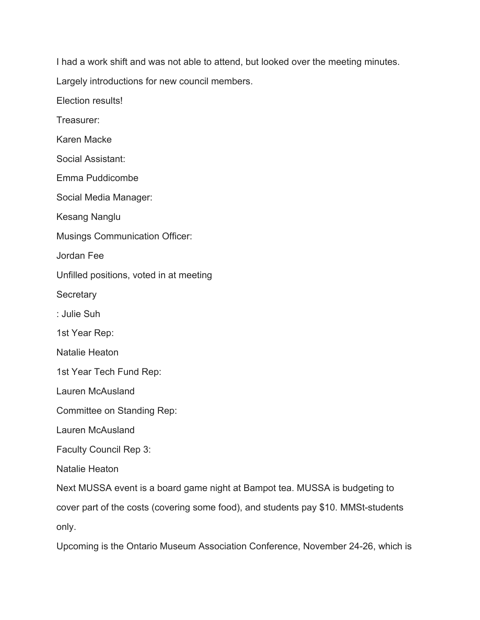I had a work shift and was not able to attend, but looked over the meeting minutes.

Largely introductions for new council members.

Election results!

Treasurer:

Karen Macke

Social Assistant:

Emma Puddicombe

Social Media Manager:

Kesang Nanglu

Musings Communication Officer:

Jordan Fee

Unfilled positions, voted in at meeting

**Secretary** 

: Julie Suh

1st Year Rep:

Natalie Heaton

1st Year Tech Fund Rep:

Lauren McAusland

Committee on Standing Rep:

Lauren McAusland

Faculty Council Rep 3:

Natalie Heaton

Next MUSSA event is a board game night at Bampot tea. MUSSA is budgeting to

cover part of the costs (covering some food), and students pay \$10. MMSt-students only.

Upcoming is the Ontario Museum Association Conference, November 24-26, which is